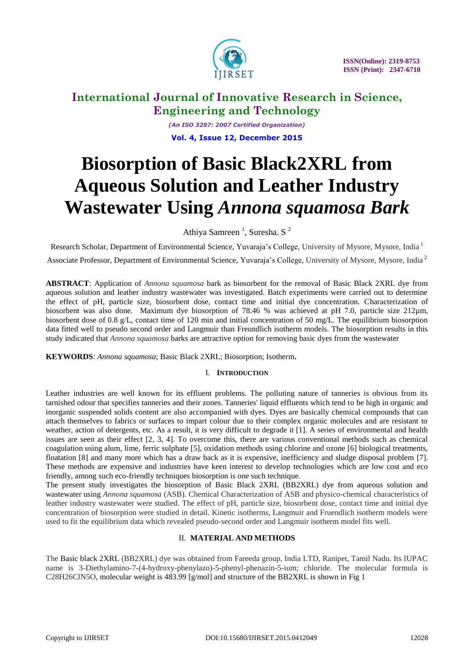

*(An ISO 3297: 2007 Certified Organization)* **Vol. 4, Issue 12, December 2015**

# **Biosorption of Basic Black2XRL from Aqueous Solution and Leather Industry Wastewater Using** *Annona squamosa Bark*

Athiya Samreen<sup>1</sup>, Suresha. S<sup>2</sup>

Research Scholar, Department of Environmental Science, Yuvaraja's College, University of Mysore, Mysore, India<sup>1</sup>

Associate Professor, Department of Environmental Science, Yuvaraja's College, University of Mysore, Mysore, India<sup>2</sup>

**ABSTRACT**: Application of *Annona squamosa* bark as biosorbent for the removal of Basic Black 2XRL dye from aqueous solution and leather industry wastewater was investigated. Batch experiments were carried out to determine the effect of pH, particle size, biosorbent dose, contact time and initial dye concentration. Characterization of biosorbent was also done. Maximum dye biosorption of 78.46 % was achieved at pH 7.0, particle size 212µm, biosorbent dose of 0.8 g/L, contact time of 120 min and initial concentration of 50 mg/L. The equilibrium biosorption data fitted well to pseudo second order and Langmuir than Freundlich isotherm models. The biosorption results in this study indicated that *Annona squamosa* barks are attractive option for removing basic dyes from the wastewater

**KEYWORDS**: *Annona squamosa*; Basic Black 2XRL; Biosorption; Isotherm**.**

# I. **INTRODUCTION**

Leather industries are well known for its effluent problems. The polluting nature of tanneries is obvious from its tarnished odour that specifies tanneries and their zones. Tanneries' liquid effluents which tend to be high in organic and inorganic suspended solids content are also accompanied with dyes. Dyes are basically chemical compounds that can attach themselves to fabrics or surfaces to impart colour due to their complex organic molecules and are resistant to weather, action of detergents, etc. As a result, it is very difficult to degrade it [1]. A series of environmental and health issues are seen as their effect [2, 3, 4]. To overcome this, there are various conventional methods such as chemical coagulation using alum, lime, ferric sulphate [5], oxidation methods using chlorine and ozone [6] biological treatments, floatation [8] and many more which has a draw back as it is expensive, inefficiency and sludge disposal problem [7]. These methods are expensive and industries have keen interest to develop technologies which are low cost and eco friendly, among such eco-friendly techniques biosorption is one such technique.

The present study investigates the biosorption of Basic Black 2XRL (BB2XRL) dye from aqueous solution and wastewater using *Annona squamosa* (ASB). Chemical Characterization of ASB and physico-chemical characteristics of leather industry wastewater were studied. The effect of pH, particle size, biosorbent dose, contact time and initial dye concentration of biosorption were studied in detail. Kinetic isotherms, Langmuir and Fruendlich isotherm models were used to fit the equilibrium data which revealed pseudo-second order and Langmuir isotherm model fits well.

# II. **MATERIAL AND METHODS**

The Basic black 2XRL (BB2XRL) dye was obtained from Fareeda group, India LTD, Ranipet, Tamil Nadu. Its IUPAC name is 3-Diethylamino-7-(4-hydroxy-phenylazo)-5-phenyl-phenazin-5-ium; chloride. The molecular formula is C28H26ClN5O, molecular weight is 483.99 [g/mol] and structure of the BB2XRL is shown in Fig 1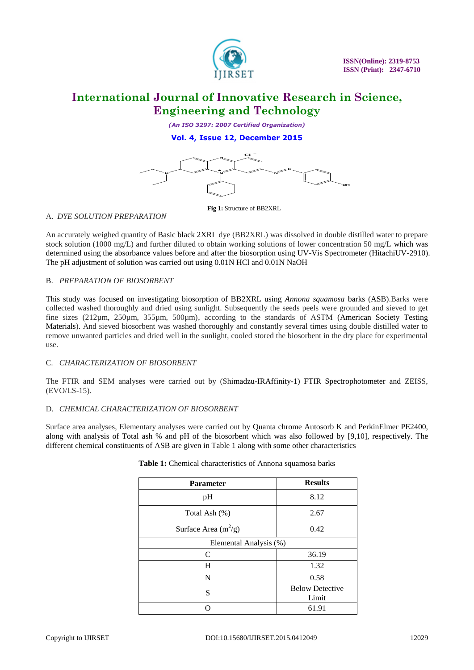

*(An ISO 3297: 2007 Certified Organization)*

# **Vol. 4, Issue 12, December 2015**



## A. *DYE SOLUTION PREPARATION*

## B. *PREPARATION OF BIOSORBENT*

## C. *CHARACTERIZATION OF BIOSORBENT*

## D. *CHEMICAL CHARACTERIZATION OF BIOSORBENT*

|                                     |                                                                                                                                                                                                                                                                                                                                                                                                                                                                                                                                                                                                       | OН                              |       |
|-------------------------------------|-------------------------------------------------------------------------------------------------------------------------------------------------------------------------------------------------------------------------------------------------------------------------------------------------------------------------------------------------------------------------------------------------------------------------------------------------------------------------------------------------------------------------------------------------------------------------------------------------------|---------------------------------|-------|
| A. DYE SOLUTION PREPARATION         | Fig 1: Structure of BB2XRL                                                                                                                                                                                                                                                                                                                                                                                                                                                                                                                                                                            |                                 |       |
|                                     | An accurately weighed quantity of Basic black 2XRL dye (BB2XRL) was dissolved in double distilled water to prepare<br>stock solution (1000 mg/L) and further diluted to obtain working solutions of lower concentration 50 mg/L which was<br>determined using the absorbance values before and after the biosorption using UV-Vis Spectrometer (HitachiUV-2910)<br>The pH adjustment of solution was carried out using 0.01N HCl and 0.01N NaOH                                                                                                                                                       |                                 |       |
| <b>B. PREPARATION OF BIOSORBENT</b> |                                                                                                                                                                                                                                                                                                                                                                                                                                                                                                                                                                                                       |                                 |       |
| use.                                | This study was focused on investigating biosorption of BB2XRL using <i>Annona squamosa</i> barks (ASB). Barks were<br>collected washed thoroughly and dried using sunlight. Subsequently the seeds peels were grounded and sieved to get<br>fine sizes (212μm, 250μm, 355μm, 500μm), according to the standards of ASTM (American Society Testing<br>Materials). And sieved biosorbent was washed thoroughly and constantly several times using double distilled water to<br>remove unwanted particles and dried well in the sunlight, cooled stored the biosorbent in the dry place for experimental |                                 |       |
| C. CHARACTERIZATION OF BIOSORBENT   |                                                                                                                                                                                                                                                                                                                                                                                                                                                                                                                                                                                                       |                                 |       |
| $(EVO/LS-15)$ .                     | The FTIR and SEM analyses were carried out by (Shimadzu-IRAffinity-1) FTIR Spectrophotometer and ZEISS,                                                                                                                                                                                                                                                                                                                                                                                                                                                                                               |                                 |       |
|                                     | D. CHEMICAL CHARACTERIZATION OF BIOSORBENT                                                                                                                                                                                                                                                                                                                                                                                                                                                                                                                                                            |                                 |       |
|                                     | Surface area analyses, Elementary analyses were carried out by Quanta chrome Autosorb K and PerkinElmer PE2400,<br>along with analysis of Total ash % and pH of the biosorbent which was also followed by [9,10], respectively. The<br>different chemical constituents of ASB are given in Table 1 along with some other characteristics<br>Table 1: Chemical characteristics of Annona squamosa barks                                                                                                                                                                                                |                                 |       |
|                                     | Parameter                                                                                                                                                                                                                                                                                                                                                                                                                                                                                                                                                                                             | <b>Results</b>                  |       |
|                                     | pH                                                                                                                                                                                                                                                                                                                                                                                                                                                                                                                                                                                                    | 8.12                            |       |
|                                     | Total Ash (%)                                                                                                                                                                                                                                                                                                                                                                                                                                                                                                                                                                                         | 2.67                            |       |
|                                     | Surface Area $(m^2/g)$                                                                                                                                                                                                                                                                                                                                                                                                                                                                                                                                                                                | 0.42                            |       |
|                                     | Elemental Analysis (%)                                                                                                                                                                                                                                                                                                                                                                                                                                                                                                                                                                                |                                 |       |
|                                     | $\mathcal{C}$                                                                                                                                                                                                                                                                                                                                                                                                                                                                                                                                                                                         | 36.19                           |       |
|                                     | H                                                                                                                                                                                                                                                                                                                                                                                                                                                                                                                                                                                                     | 1.32                            |       |
|                                     | ${\bf N}$                                                                                                                                                                                                                                                                                                                                                                                                                                                                                                                                                                                             | 0.58                            |       |
|                                     | ${\bf S}$                                                                                                                                                                                                                                                                                                                                                                                                                                                                                                                                                                                             | <b>Below Detective</b><br>Limit |       |
|                                     | $\overline{O}$                                                                                                                                                                                                                                                                                                                                                                                                                                                                                                                                                                                        | 61.91                           |       |
| Copyright to IJIRSET                | DOI:10.15680/IJIRSET.2015.0412049                                                                                                                                                                                                                                                                                                                                                                                                                                                                                                                                                                     |                                 | 12029 |

#### **Table 1:** Chemical characteristics of Annona squamosa barks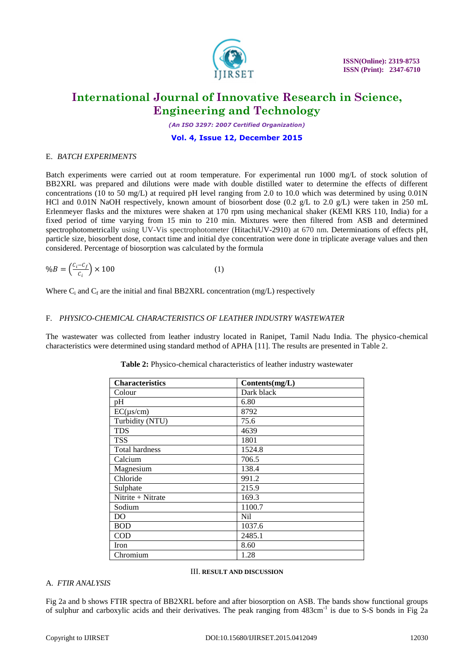

*(An ISO 3297: 2007 Certified Organization)*

# **Vol. 4, Issue 12, December 2015**

#### E. *BATCH EXPERIMENTS*

Batch experiments were carried out at room temperature. For experimental run 1000 mg/L of stock solution of BB2XRL was prepared and dilutions were made with double distilled water to determine the effects of different concentrations (10 to 50 mg/L) at required pH level ranging from 2.0 to 10.0 which was determined by using 0.01N HCl and 0.01N NaOH respectively, known amount of biosorbent dose (0.2 g/L to 2.0 g/L) were taken in 250 mL Erlenmeyer flasks and the mixtures were shaken at 170 rpm using mechanical shaker (KEMI KRS 110, India) for a fixed period of time varying from 15 min to 210 min. Mixtures were then filtered from ASB and determined spectrophotometrically using UV-Vis spectrophotometer (HitachiUV-2910) at 670 nm. Determinations of effects pH, particle size, biosorbent dose, contact time and initial dye concentration were done in triplicate average values and then considered. Percentage of biosorption was calculated by the formula

$$
\%B = \left(\frac{c_i - c_f}{c_i}\right) \times 100\tag{1}
$$

Where  $C_i$  and  $C_f$  are the initial and final BB2XRL concentration (mg/L) respectively

#### F. *PHYSICO-CHEMICAL CHARACTERISTICS OF LEATHER INDUSTRY WASTEWATER*

The wastewater was collected from leather industry located in Ranipet, Tamil Nadu India. The physico-chemical characteristics were determined using standard method of APHA [11]. The results are presented in Table 2.

| <b>Characteristics</b> | Contents(mg/L) |
|------------------------|----------------|
|                        |                |
| Colour                 | Dark black     |
| pH                     | 6.80           |
| $EC(\mu s/cm)$         | 8792           |
| Turbidity (NTU)        | 75.6           |
| <b>TDS</b>             | 4639           |
| <b>TSS</b>             | 1801           |
| Total hardness         | 1524.8         |
| Calcium                | 706.5          |
| Magnesium              | 138.4          |
| Chloride               | 991.2          |
| Sulphate               | 215.9          |
| Nitrite + Nitrate      | 169.3          |
| Sodium                 | 1100.7         |
| D <sub>O</sub>         | Nil            |
| <b>BOD</b>             | 1037.6         |
| <b>COD</b>             | 2485.1         |
| Iron                   | 8.60           |
| Chromium               | 1.28           |

**Table 2:** Physico-chemical characteristics of leather industry wastewater

#### III. **RESULT AND DISCUSSION**

## A. *FTIR ANALYSIS*

Fig 2a and b shows FTIR spectra of BB2XRL before and after biosorption on ASB. The bands show functional groups of sulphur and carboxylic acids and their derivatives. The peak ranging from 483cm<sup>-1</sup> is due to S-S bonds in Fig 2a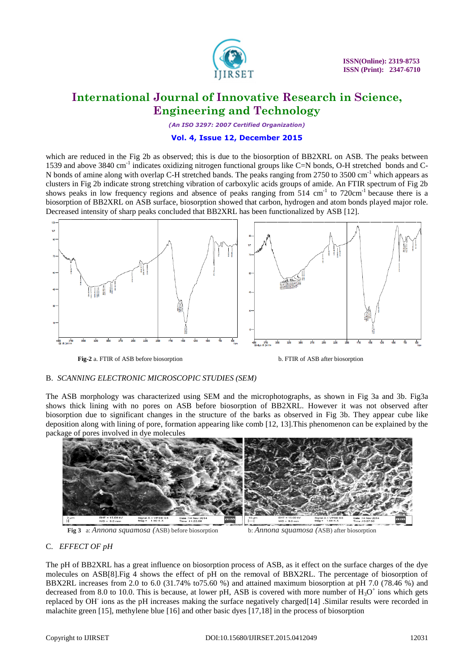

*(An ISO 3297: 2007 Certified Organization)*

## **Vol. 4, Issue 12, December 2015**

which are reduced in the Fig 2b as observed; this is due to the biosorption of BB2XRL on ASB. The peaks between 1539 and above 3840 cm<sup>-1</sup> indicates oxidizing nitrogen functional groups like C=N bonds, O-H stretched bonds and C-N bonds of amine along with overlap C-H stretched bands. The peaks ranging from 2750 to 3500 cm<sup>-1</sup> which appears as clusters in Fig 2b indicate strong stretching vibration of carboxylic acids groups of amide. An FTIR spectrum of Fig 2b shows peaks in low frequency regions and absence of peaks ranging from 514 cm<sup>-1</sup> to 720cm<sup>-1</sup> because there is a biosorption of BB2XRL on ASB surface, biosorption showed that carbon, hydrogen and atom bonds played major role. Decreased intensity of sharp peaks concluded that BB2XRL has been functionalized by ASB [12].



**Fig-2** a. FTIR of ASB before biosorption b. FTIR of ASB after biosorption

# B. *SCANNING ELECTRONIC MICROSCOPIC STUDIES (SEM)*

The ASB morphology was characterized using SEM and the microphotographs, as shown in Fig 3a and 3b. Fig3a shows thick lining with no pores on ASB before biosorption of BB2XRL. However it was not observed after biosorption due to significant changes in the structure of the barks as observed in Fig 3b. They appear cube like deposition along with lining of pore, formation appearing like comb [12, 13].This phenomenon can be explained by the package of pores involved in dye molecules



**Fig 3** a: *Annona squamosa (*ASB) before biosorption b: *Annona squamosa (*ASB) after biosorption

# C. *EFFECT OF pH*

The pH of BB2XRL has a great influence on biosorption process of ASB, as it effect on the surface charges of the dye molecules on ASB[8].Fig 4 shows the effect of pH on the removal of BBX2RL. The percentage of biosorption of BBX2RL increases from 2.0 to 6.0 (31.74% to75.60 %) and attained maximum biosorption at pH 7.0 (78.46 %) and decreased from 8.0 to 10.0. This is because, at lower pH, ASB is covered with more number of  $H_3O^+$  ions which gets replaced by OH<sup>-</sup> ions as the pH increases making the surface negatively charged[14] .Similar results were recorded in malachite green [15], methylene blue [16] and other basic dyes [17,18] in the process of biosorption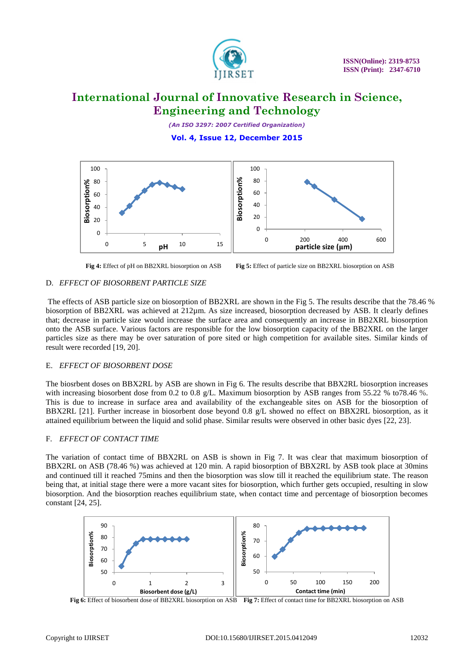

*(An ISO 3297: 2007 Certified Organization)* **Vol. 4, Issue 12, December 2015**



**Fig 4:** Effect of pH on BB2XRL biosorption on ASB **Fig 5:** Effect of particle size on BB2XRL biosorption on ASB

## D. *EFFECT OF BIOSORBENT PARTICLE SIZE*

The effects of ASB particle size on biosorption of BB2XRL are shown in the Fig 5. The results describe that the 78.46 % biosorption of BB2XRL was achieved at 212µm. As size increased, biosorption decreased by ASB. It clearly defines that; decrease in particle size would increase the surface area and consequently an increase in BB2XRL biosorption onto the ASB surface. Various factors are responsible for the low biosorption capacity of the BB2XRL on the larger particles size as there may be over saturation of pore sited or high competition for available sites. Similar kinds of result were recorded [19, 20].

## E. *EFFECT OF BIOSORBENT DOSE*

The biosrbent doses on BBX2RL by ASB are shown in Fig 6. The results describe that BBX2RL biosorption increases with increasing biosorbent dose from 0.2 to 0.8 g/L. Maximum biosorption by ASB ranges from 55.22 % to78.46 %. This is due to increase in surface area and availability of the exchangeable sites on ASB for the biosorption of BBX2RL [21]. Further increase in biosorbent dose beyond 0.8 g/L showed no effect on BBX2RL biosorption, as it attained equilibrium between the liquid and solid phase. Similar results were observed in other basic dyes [22, 23].

## F. *EFFECT OF CONTACT TIME*

The variation of contact time of BBX2RL on ASB is shown in Fig 7. It was clear that maximum biosorption of BBX2RL on ASB (78.46 %) was achieved at 120 min. A rapid biosorption of BBX2RL by ASB took place at 30mins and continued till it reached 75mins and then the biosorption was slow till it reached the equilibrium state. The reason being that, at initial stage there were a more vacant sites for biosorption, which further gets occupied, resulting in slow biosorption. And the biosorption reaches equilibrium state, when contact time and percentage of biosorption becomes constant [24, 25].



**Fig 6:** Effect of biosorbent dose of BB2XRL biosorption on ASB **Fig 7:** Effect of contact time for BB2XRL biosorption on ASB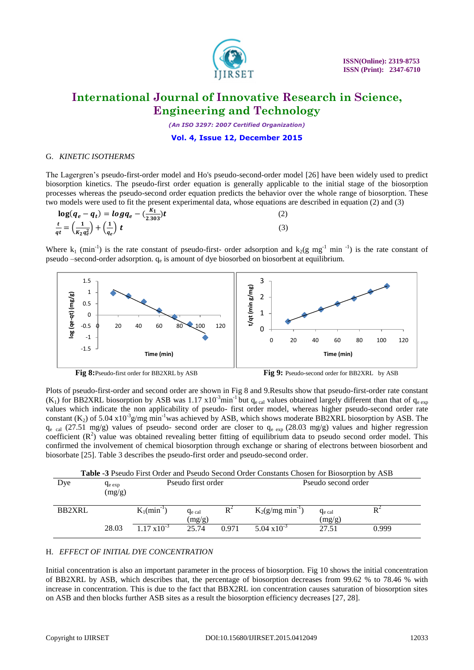

*(An ISO 3297: 2007 Certified Organization)*

#### **Vol. 4, Issue 12, December 2015**

## G. *KINETIC ISOTHERMS*

The Lagergren's pseudo-first-order model and Ho's pseudo-second-order model [26] have been widely used to predict biosorption kinetics. The pseudo-first order equation is generally applicable to the initial stage of the biosorption processes whereas the pseudo-second order equation predicts the behavior over the whole range of biosorption. These two models were used to fit the present experimental data, whose equations are described in equation (2) and (3)

$$
\log(q_e - q_t) = \log q_e - (\frac{K_1}{2.303})t
$$
\n(2)\n
$$
\frac{t}{qt} = \left(\frac{1}{K_2 q_e^2}\right) + \left(\frac{1}{q_e}\right) t
$$
\n(3)

Where  $k_1$  (min<sup>-1</sup>) is the rate constant of pseudo-first- order adsorption and  $k_2(g \text{ mg}^{-1} \text{ min}^{-1})$  is the rate constant of pseudo –second-order adsorption.  $q_e$  is amount of dye biosorbed on biosorbent at equilibrium.



Plots of pseudo-first-order and second order are shown in Fig 8 and 9.Results show that pseudo-first-order rate constant (K<sub>1</sub>) for BB2XRL biosorption by ASB was 1.17 x10<sup>-3</sup>min<sup>-1</sup> but  $q_{e \text{ cal}}$  values obtained largely different than that of  $q_{e \text{ exp}}$ values which indicate the non applicability of pseudo- first order model, whereas higher pseudo-second order rate constant  $(K_2)$  of 5.04 x10<sup>-3</sup>g/mg min<sup>-1</sup>was achieved by ASB, which shows moderate BB2XRL biosorption by ASB. The  $q_{e}$  cal (27.51 mg/g) values of pseudo- second order are closer to  $q_{e}$  exp (28.03 mg/g) values and higher regression coefficient  $(R^2)$  value was obtained revealing better fitting of equilibrium data to pseudo second order model. This confirmed the involvement of chemical biosorption through exchange or sharing of electrons between biosorbent and biosorbate [25]. Table 3 describes the pseudo-first order and pseudo-second order.

| Table -3 Pseudo First Order and Pseudo Second Order Constants Chosen for Biosorption by ASB |                        |                            |                       |                     |                       |                       |       |
|---------------------------------------------------------------------------------------------|------------------------|----------------------------|-----------------------|---------------------|-----------------------|-----------------------|-------|
| Dye                                                                                         | $q_{e \exp}$<br>(mg/g) | Pseudo first order         |                       | Pseudo second order |                       |                       |       |
| <b>BB2XRL</b>                                                                               |                        | $K_1$ (min <sup>-1</sup> ) | $q_{e}$ cal<br>(mg/g) |                     | $K_2(g/mg min^{-1})$  | $q_{e}$ cal<br>(mg/g) |       |
|                                                                                             | 28.03                  | $1.17 \times 10^{-3}$      | 25.74                 | 0.971               | $5.04 \times 10^{-3}$ | 27.51                 | 0.999 |

**Table -3** Pseudo First Order and Pseudo Second Order Constants Chosen for Biosorption by ASB

## H. *EFFECT OF INITIAL DYE CONCENTRATION*

Initial concentration is also an important parameter in the process of biosorption. Fig 10 shows the initial concentration of BB2XRL by ASB, which describes that, the percentage of biosorption decreases from 99.62 % to 78.46 % with increase in concentration. This is due to the fact that BBX2RL ion concentration causes saturation of biosorption sites on ASB and then blocks further ASB sites as a result the biosorption efficiency decreases [27, 28].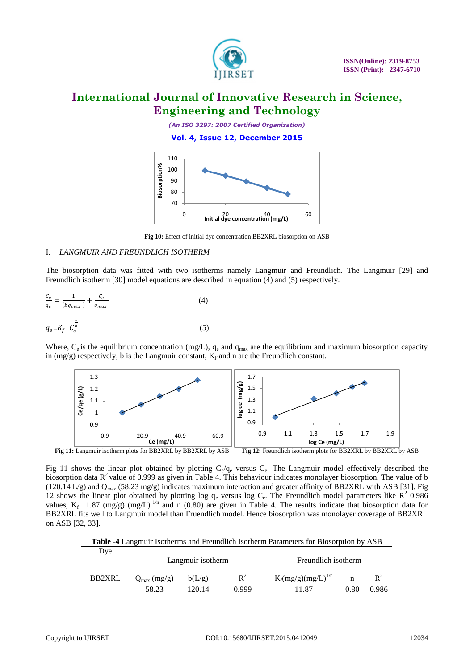

*(An ISO 3297: 2007 Certified Organization)*

**Vol. 4, Issue 12, December 2015**



**Fig 10:** Effect of initial dye concentration BB2XRL biosorption on ASB

## I. *LANGMUIR AND FREUNDLICH ISOTHERM*

The biosorption data was fitted with two isotherms namely Langmuir and Freundlich. The Langmuir [29] and Freundlich isotherm [30] model equations are described in equation (4) and (5) respectively.

$$
\frac{c_e}{q_e} = \frac{1}{(bq_{max})} + \frac{c_e}{q_{max}}
$$
(4)  

$$
q_{e} = K_f \ C_e^{\frac{1}{n}}
$$
(5)

Where,  $C_e$  is the equilibrium concentration (mg/L),  $q_e$  and  $q_{max}$  are the equilibrium and maximum biosorption capacity in (mg/g) respectively, b is the Langmuir constant,  $K_F$  and n are the Freundlich constant.



Fig 11 shows the linear plot obtained by plotting  $C_e/q_e$  versus  $C_e$ . The Langmuir model effectively described the biosorption data  $R^2$  value of 0.999 as given in Table 4. This behaviour indicates monolayer biosorption. The value of b (120.14 L/g) and  $Q_{max}$  (58.23 mg/g) indicates maximum interaction and greater affinity of BB2XRL with ASB [31]. Fig 12 shows the linear plot obtained by plotting log  $q_e$  versus log  $C_e$ . The Freundlich model parameters like  $R^2$  0.986 values,  $K_f$  11.87 (mg/g) (mg/L) <sup>1/n</sup> and n (0.80) are given in Table 4. The results indicate that biosorption data for BB2XRL fits well to Langmuir model than Fruendlich model. Hence biosorption was monolayer coverage of BB2XRL on ASB [32, 33].

| <b>Table -4</b> Langmuir Isotherms and Freundlich Isotherm Parameters for Biosorption by ASB |  |
|----------------------------------------------------------------------------------------------|--|
| Dye                                                                                          |  |

|        | Langmuir isotherm       |        |                | Freundlich isotherm     |      |       |  |
|--------|-------------------------|--------|----------------|-------------------------|------|-------|--|
| BB2XRL | $Q_{\text{max}}$ (mg/g) | b(L/g) | $\mathbf{R}^2$ | $K_f(mg/g)(mg/L)^{1/n}$ |      |       |  |
|        | 58.23                   | 120.14 | () 999         | 1.87                    | 0.80 | 0.986 |  |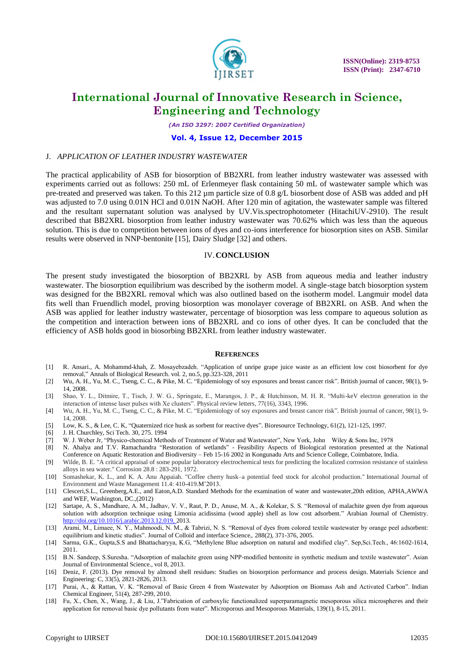

*(An ISO 3297: 2007 Certified Organization)*

#### **Vol. 4, Issue 12, December 2015**

#### J. *APPLICATION OF LEATHER INDUSTRY WASTEWATER*

The practical applicability of ASB for biosorption of BB2XRL from leather industry wastewater was assessed with experiments carried out as follows: 250 mL of Erlenmeyer flask containing 50 mL of wastewater sample which was pre-treated and preserved was taken. To this 212 µm particle size of 0.8 g/L biosorbent dose of ASB was added and pH was adjusted to 7.0 using 0.01N HCl and 0.01N NaOH. After 120 min of agitation, the wastewater sample was filtered and the resultant supernatant solution was analysed by UV.Vis.spectrophotometer (HitachiUV-2910). The result described that BB2XRL biosorption from leather industry wastewater was 70.62% which was less than the aqueous solution. This is due to competition between ions of dyes and co-ions interference for biosorption sites on ASB. Similar results were observed in NNP-bentonite [15], Dairy Sludge [32] and others.

#### IV.**CONCLUSION**

The present study investigated the biosorption of BB2XRL by ASB from aqueous media and leather industry wastewater. The biosorption equilibrium was described by the isotherm model. A single-stage batch biosorption system was designed for the BB2XRL removal which was also outlined based on the isotherm model. Langmuir model data fits well than Fruendlich model, proving biosorption was monolayer coverage of BB2XRL on ASB. And when the ASB was applied for leather industry wastewater, percentage of biosorption was less compare to aqueous solution as the competition and interaction between ions of BB2XRL and co ions of other dyes. It can be concluded that the efficiency of ASB holds good in biosorbing BB2XRL from leather industry wastewater.

#### **REFERENCES**

- [1] R. Ansari., A. Mohammd-khah, Z. Mosayebzadeh. "Application of unripe grape juice waste as an efficient low cost biosorbent for dye removal," Annals of Biological Research. vol. 2, no.5, pp.323-328, 2011
- [2] Wu, A. H., Yu, M. C., Tseng, C. C., & Pike, M. C. "Epidemiology of soy exposures and breast cancer risk". British journal of cancer, 98(1), 9- 14, 2008.
- [3] Shao, Y. L., Ditmire, T., Tisch, J. W. G., Springate, E., Marangos, J. P., & Hutchinson, M. H. R. "Multi-keV electron generation in the interaction of intense laser pulses with Xe clusters". Physical review letters, 77(16), 3343, 1996.
- [4] Wu, A. H., Yu, M. C., Tseng, C. C., & Pike, M. C. "Epidemiology of soy exposures and breast cancer risk". British journal of cancer, 98(1), 9- 14, 2008.
- [5] Low, K. S., & Lee, C. K, "Quaternized rice husk as sorbent for reactive dyes". Bioresource Technology, 61(2), 121-125, 1997.
- [6] J. H. Churchley, Sci Tech. 30, 275. 1994
- [7] W. J. Weber Jr, "Physico-chemical Methods of Treatment of Water and Wastewater", New York, John Wiley & Sons Inc, 1978
- [8] N. Ahalya and T.V. Ramachandra "Restoration of wetlands" Feasibility Aspects of Biological restoration presented at the National Conference on Aquatic Restoration and Biodiversity – Feb 15-16 2002 in Kongunadu Arts and Science College, Coimbatore, India.
- [9] Wilde, B. E. "A critical appraisal of some popular laboratory electrochemical tests for predicting the localized corrosion resistance of stainless alloys in sea water." Corrosion 28.8 : 283-291, 1972.
- [10] Somashekar, K. L., and K. A. Anu Appaiah. "Coffee cherry husk–a potential feed stock for alcohol production." International Journal of Environment and Waste Management 11.4: 410-419.M'2013.
- [11] Clesceri,S.L., Greenberg,A.E., and Eaton,A.D. Standard Methods for the examination of water and wastewater,20th edition, APHA,AWWA and WEF, Washington, DC.,(2012)
- [12] Sartape, A. S., Mandhare, A. M., Jadhav, V. V., Raut, P. D., Anuse, M. A., & Kolekar, S. S. "Removal of malachite green dye from aqueous solution with adsorption technique using Limonia acidissima (wood apple) shell as low cost adsorbent." Arabian Journal of Chemistry. [http://doi.org/10.1016/j.arabjc.2013.12.019, 2013.](http://doi.org/10.1016/j.arabjc.2013.12.019,%202013)
- [13] Arami, M., Limaee, N. Y., Mahmoodi, N. M., & Tabrizi, N. S. "Removal of dyes from colored textile wastewater by orange peel adsorbent: equilibrium and kinetic studies". Journal of Colloid and interface Science,. 288(2), 371-376, 2005.
- [14] Sarma, G.K., Gupta,S.S and Bhattacharyya, K.G, "Methylene Blue adsorption on natural and modified clay". Sep,Sci.Tech., 46:1602-1614, 2011.
- [15] B.N. Sandeep, S.Suresha. "Adsorption of malachite green using NPP-modified bentonite in synthetic medium and textile wastewater". Asian Journal of Environmental Science., vol 8, 2013.
- [16] Deniz, F. (2013). Dye removal by almond shell residues: Studies on biosorption performance and process design. Materials Science and Engineering: C, 33(5), 2821-2826, 2013.
- [17] Purai, A., & Rattan, V. K. "Removal of Basic Green 4 from Wastewater by Adsorption on Biomass Ash and Activated Carbon". Indian Chemical Engineer, 51(4), 287-299, 2010.
- [18] Fu, X., Chen, X., Wang, J., & Liu, J."Fabrication of carboxylic functionalized superparamagnetic mesoporous silica microspheres and their application for removal basic dye pollutants from water". Microporous and Mesoporous Materials, 139(1), 8-15, 2011.